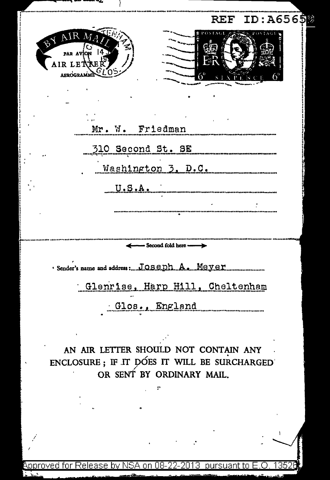| <b>REF</b>                                                                                                       | ID: A6565<br>뾩 |
|------------------------------------------------------------------------------------------------------------------|----------------|
| M<br>AIR LETTER<br>AEROGRAMI                                                                                     |                |
|                                                                                                                  |                |
| Mr. W. Friedman                                                                                                  |                |
| 310 Second St. SE                                                                                                |                |
| Washington 3, D.C.                                                                                               |                |
|                                                                                                                  |                |
|                                                                                                                  |                |
|                                                                                                                  |                |
| - Second fold here --                                                                                            |                |
| · Sender's name and address:JOSODhA.aMOYOR                                                                       |                |
| Glenrise, Harp Hill, Cheltenham                                                                                  |                |
| Glos., England                                                                                                   |                |
|                                                                                                                  |                |
| AN AIR LETTER SHOULD NOT CONTAIN ANY<br>ENCLOSURE: IF IT DOES IT WILL BE SURCHARGED<br>OR SENT BY ORDINARY MAIL. |                |
|                                                                                                                  |                |
|                                                                                                                  |                |
|                                                                                                                  | Ł              |
|                                                                                                                  |                |
| pproved for Release by NSA on 08-22-2013  pursuant to E                                                          |                |